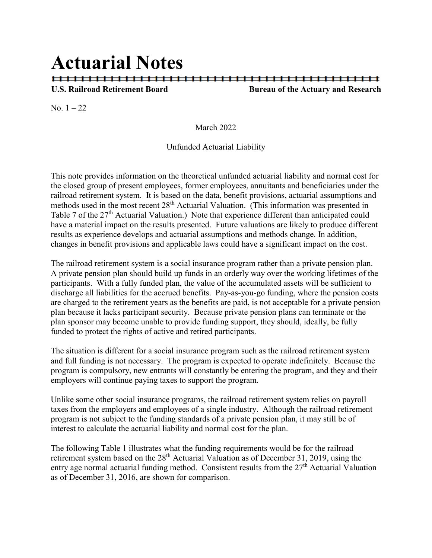# **Actuarial Notes**

### **U.S. Railroad Retirement Board Bureau of the Actuary and Research**

No.  $1 - 22$ 

March 2022

#### Unfunded Actuarial Liability

This note provides information on the theoretical unfunded actuarial liability and normal cost for the closed group of present employees, former employees, annuitants and beneficiaries under the railroad retirement system. It is based on the data, benefit provisions, actuarial assumptions and methods used in the most recent 28<sup>th</sup> Actuarial Valuation. (This information was presented in Table 7 of the 27<sup>th</sup> Actuarial Valuation.) Note that experience different than anticipated could have a material impact on the results presented. Future valuations are likely to produce different results as experience develops and actuarial assumptions and methods change. In addition, changes in benefit provisions and applicable laws could have a significant impact on the cost.

The railroad retirement system is a social insurance program rather than a private pension plan. A private pension plan should build up funds in an orderly way over the working lifetimes of the participants. With a fully funded plan, the value of the accumulated assets will be sufficient to discharge all liabilities for the accrued benefits. Pay-as-you-go funding, where the pension costs are charged to the retirement years as the benefits are paid, is not acceptable for a private pension plan because it lacks participant security. Because private pension plans can terminate or the plan sponsor may become unable to provide funding support, they should, ideally, be fully funded to protect the rights of active and retired participants.

The situation is different for a social insurance program such as the railroad retirement system and full funding is not necessary. The program is expected to operate indefinitely. Because the program is compulsory, new entrants will constantly be entering the program, and they and their employers will continue paying taxes to support the program.

Unlike some other social insurance programs, the railroad retirement system relies on payroll taxes from the employers and employees of a single industry. Although the railroad retirement program is not subject to the funding standards of a private pension plan, it may still be of interest to calculate the actuarial liability and normal cost for the plan.

The following Table 1 illustrates what the funding requirements would be for the railroad retirement system based on the 28<sup>th</sup> Actuarial Valuation as of December 31, 2019, using the entry age normal actuarial funding method. Consistent results from the  $27<sup>th</sup>$  Actuarial Valuation as of December 31, 2016, are shown for comparison.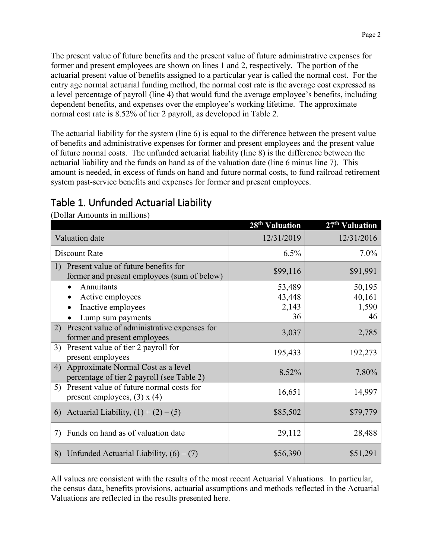Page 2

The present value of future benefits and the present value of future administrative expenses for former and present employees are shown on lines 1 and 2, respectively. The portion of the actuarial present value of benefits assigned to a particular year is called the normal cost. For the entry age normal actuarial funding method, the normal cost rate is the average cost expressed as a level percentage of payroll (line 4) that would fund the average employee's benefits, including dependent benefits, and expenses over the employee's working lifetime. The approximate normal cost rate is 8.52% of tier 2 payroll, as developed in Table 2.

The actuarial liability for the system (line 6) is equal to the difference between the present value of benefits and administrative expenses for former and present employees and the present value of future normal costs. The unfunded actuarial liability (line 8) is the difference between the actuarial liability and the funds on hand as of the valuation date (line 6 minus line 7). This amount is needed, in excess of funds on hand and future normal costs, to fund railroad retirement system past-service benefits and expenses for former and present employees.

## Table 1. Unfunded Actuarial Liability

|                                                                                           | 28 <sup>th</sup> Valuation      | 27th Valuation                  |
|-------------------------------------------------------------------------------------------|---------------------------------|---------------------------------|
| Valuation date                                                                            | 12/31/2019                      | 12/31/2016                      |
| Discount Rate                                                                             | 6.5%                            | $7.0\%$                         |
| Present value of future benefits for<br>1)<br>former and present employees (sum of below) | \$99,116                        | \$91,991                        |
| Annuitants<br>$\bullet$<br>Active employees<br>Inactive employees<br>Lump sum payments    | 53,489<br>43,448<br>2,143<br>36 | 50,195<br>40,161<br>1,590<br>46 |
| Present value of administrative expenses for<br>2)<br>former and present employees        | 3,037                           | 2,785                           |
| Present value of tier 2 payroll for<br>3)<br>present employees                            | 195,433                         | 192,273                         |
| Approximate Normal Cost as a level<br>4)<br>percentage of tier 2 payroll (see Table 2)    | 8.52%                           | 7.80%                           |
| 5) Present value of future normal costs for<br>present employees, $(3)$ x $(4)$           | 16,651                          | 14,997                          |
| Actuarial Liability, $(1) + (2) - (5)$<br>6)                                              | \$85,502                        | \$79,779                        |
| Funds on hand as of valuation date<br>7)                                                  | 29,112                          | 28,488                          |
| Unfunded Actuarial Liability, $(6) - (7)$<br>8)                                           | \$56,390                        | \$51,291                        |

(Dollar Amounts in millions)

All values are consistent with the results of the most recent Actuarial Valuations. In particular, the census data, benefits provisions, actuarial assumptions and methods reflected in the Actuarial Valuations are reflected in the results presented here.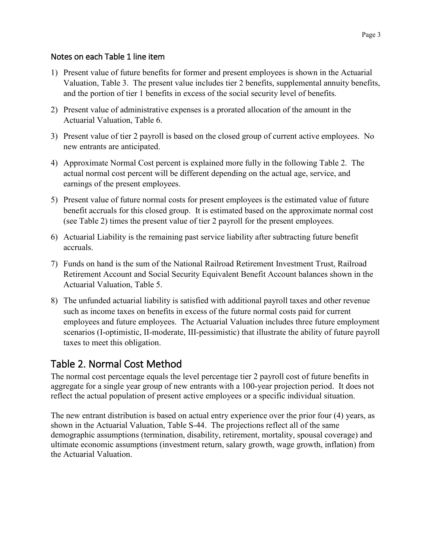#### Notes on each Table 1 line item

- 1) Present value of future benefits for former and present employees is shown in the Actuarial Valuation, Table 3. The present value includes tier 2 benefits, supplemental annuity benefits, and the portion of tier 1 benefits in excess of the social security level of benefits.
- 2) Present value of administrative expenses is a prorated allocation of the amount in the Actuarial Valuation, Table 6.
- 3) Present value of tier 2 payroll is based on the closed group of current active employees. No new entrants are anticipated.
- 4) Approximate Normal Cost percent is explained more fully in the following Table 2. The actual normal cost percent will be different depending on the actual age, service, and earnings of the present employees.
- 5) Present value of future normal costs for present employees is the estimated value of future benefit accruals for this closed group. It is estimated based on the approximate normal cost (see Table 2) times the present value of tier 2 payroll for the present employees.
- 6) Actuarial Liability is the remaining past service liability after subtracting future benefit accruals.
- 7) Funds on hand is the sum of the National Railroad Retirement Investment Trust, Railroad Retirement Account and Social Security Equivalent Benefit Account balances shown in the Actuarial Valuation, Table 5.
- 8) The unfunded actuarial liability is satisfied with additional payroll taxes and other revenue such as income taxes on benefits in excess of the future normal costs paid for current employees and future employees. The Actuarial Valuation includes three future employment scenarios (I-optimistic, II-moderate, III-pessimistic) that illustrate the ability of future payroll taxes to meet this obligation.

## Table 2. Normal Cost Method

The normal cost percentage equals the level percentage tier 2 payroll cost of future benefits in aggregate for a single year group of new entrants with a 100-year projection period. It does not reflect the actual population of present active employees or a specific individual situation.

The new entrant distribution is based on actual entry experience over the prior four (4) years, as shown in the Actuarial Valuation, Table S-44. The projections reflect all of the same demographic assumptions (termination, disability, retirement, mortality, spousal coverage) and ultimate economic assumptions (investment return, salary growth, wage growth, inflation) from the Actuarial Valuation.